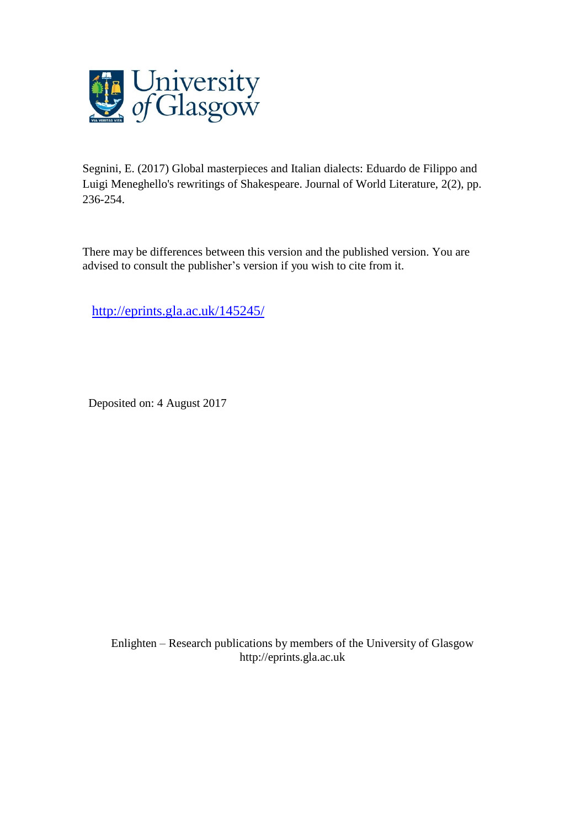

Segnini, E. (2017) Global masterpieces and Italian dialects: Eduardo de Filippo and Luigi Meneghello's rewritings of Shakespeare. Journal of World Literature, 2(2), pp. 236-254.

There may be differences between this version and the published version. You are advised to consult the publisher's version if you wish to cite from it.

<http://eprints.gla.ac.uk/145245/>

Deposited on: 4 August 2017

Enlighten – Research publications by members of the University of Glasgo[w](http://eprints.gla.ac.uk/) [http://eprints.gla.ac.uk](http://eprints.gla.ac.uk/)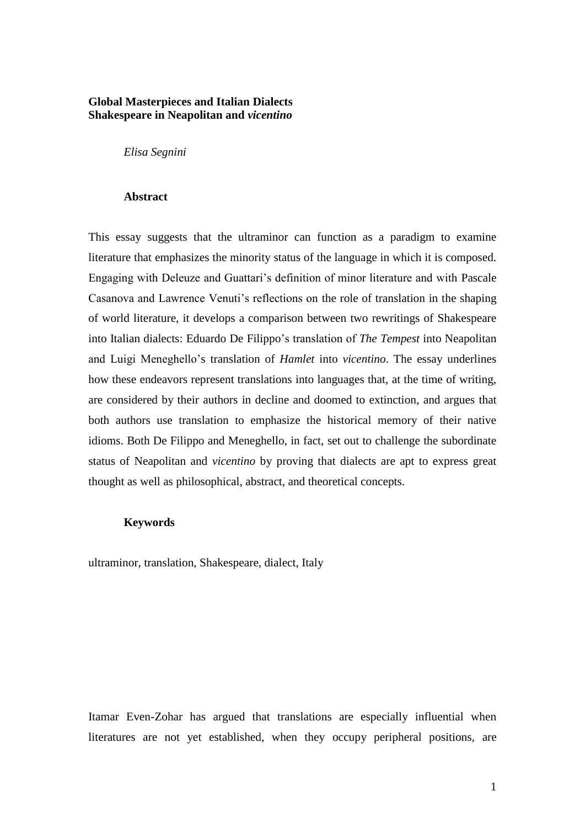## **Global Masterpieces and Italian Dialects Shakespeare in Neapolitan and** *vicentino*

*Elisa Segnini*

## **Abstract**

This essay suggests that the ultraminor can function as a paradigm to examine literature that emphasizes the minority status of the language in which it is composed. Engaging with Deleuze and Guattari's definition of minor literature and with Pascale Casanova and Lawrence Venuti's reflections on the role of translation in the shaping of world literature, it develops a comparison between two rewritings of Shakespeare into Italian dialects: Eduardo De Filippo's translation of *The Tempest* into Neapolitan and Luigi Meneghello's translation of *Hamlet* into *vicentino*. The essay underlines how these endeavors represent translations into languages that, at the time of writing, are considered by their authors in decline and doomed to extinction, and argues that both authors use translation to emphasize the historical memory of their native idioms. Both De Filippo and Meneghello, in fact, set out to challenge the subordinate status of Neapolitan and *vicentino* by proving that dialects are apt to express great thought as well as philosophical, abstract, and theoretical concepts.

## **Keywords**

ultraminor, translation, Shakespeare, dialect, Italy

Itamar Even-Zohar has argued that translations are especially influential when literatures are not yet established, when they occupy peripheral positions, are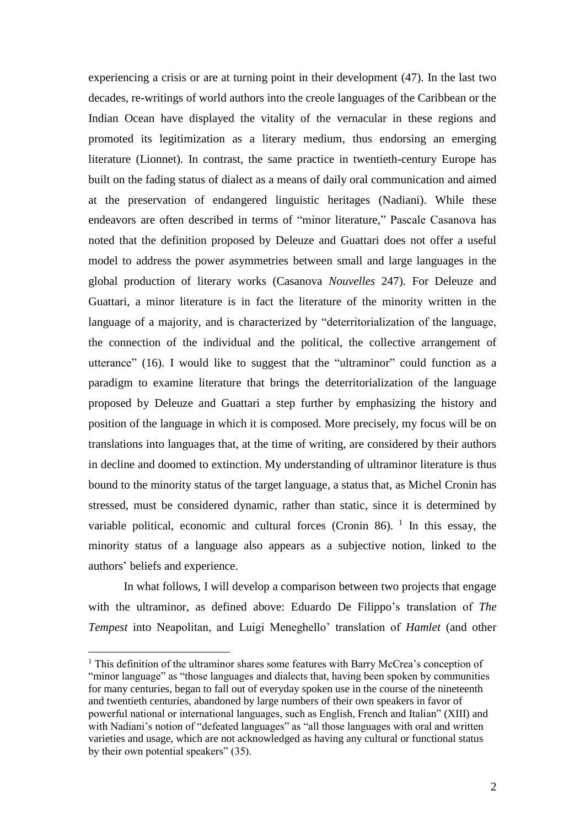experiencing a crisis or are at turning point in their development (47). In the last two decades, re-writings of world authors into the creole languages of the Caribbean or the Indian Ocean have displayed the vitality of the vernacular in these regions and promoted its legitimization as a literary medium, thus endorsing an emerging literature (Lionnet). In contrast, the same practice in twentieth-century Europe has built on the fading status of dialect as a means of daily oral communication and aimed at the preservation of endangered linguistic heritages (Nadiani). While these endeavors are often described in terms of "minor literature," Pascale Casanova has noted that the definition proposed by Deleuze and Guattari does not offer a useful model to address the power asymmetries between small and large languages in the global production of literary works (Casanova *Nouvelles* 247). For Deleuze and Guattari, a minor literature is in fact the literature of the minority written in the language of a majority, and is characterized by "deterritorialization of the language, the connection of the individual and the political, the collective arrangement of utterance" (16). I would like to suggest that the "ultraminor" could function as a paradigm to examine literature that brings the deterritorialization of the language proposed by Deleuze and Guattari a step further by emphasizing the history and position of the language in which it is composed. More precisely, my focus will be on translations into languages that, at the time of writing, are considered by their authors in decline and doomed to extinction. My understanding of ultraminor literature is thus bound to the minority status of the target language, a status that, as Michel Cronin has stressed, must be considered dynamic, rather than static, since it is determined by variable political, economic and cultural forces (Cronin 86).  $1$  In this essay, the minority status of a language also appears as a subjective notion, linked to the authors' beliefs and experience.

In what follows, I will develop a comparison between two projects that engage with the ultraminor, as defined above: Eduardo De Filippo's translation of *The Tempest* into Neapolitan, and Luigi Meneghello' translation of *Hamlet* (and other

1

<sup>&</sup>lt;sup>1</sup> This definition of the ultraminor shares some features with Barry McCrea's conception of "minor language" as "those languages and dialects that, having been spoken by communities for many centuries, began to fall out of everyday spoken use in the course of the nineteenth and twentieth centuries, abandoned by large numbers of their own speakers in favor of powerful national or international languages, such as English, French and Italian" (XIII) and with Nadiani's notion of "defeated languages" as "all those languages with oral and written varieties and usage, which are not acknowledged as having any cultural or functional status by their own potential speakers" (35).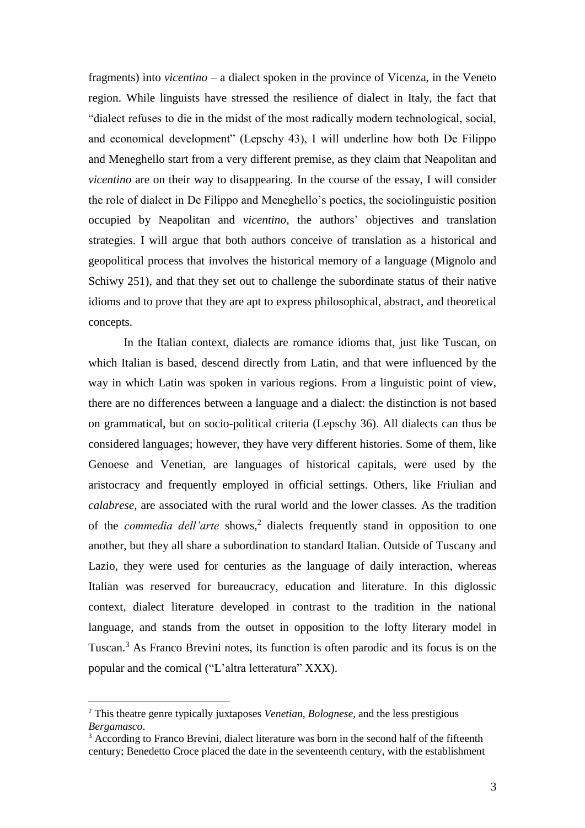fragments) into *vicentino* – a dialect spoken in the province of Vicenza, in the Veneto region. While linguists have stressed the resilience of dialect in Italy, the fact that "dialect refuses to die in the midst of the most radically modern technological, social, and economical development" (Lepschy 43), I will underline how both De Filippo and Meneghello start from a very different premise, as they claim that Neapolitan and *vicentino* are on their way to disappearing. In the course of the essay, I will consider the role of dialect in De Filippo and Meneghello's poetics, the sociolinguistic position occupied by Neapolitan and *vicentino*, the authors' objectives and translation strategies. I will argue that both authors conceive of translation as a historical and geopolitical process that involves the historical memory of a language (Mignolo and Schiwy 251), and that they set out to challenge the subordinate status of their native idioms and to prove that they are apt to express philosophical, abstract, and theoretical concepts.

In the Italian context, dialects are romance idioms that, just like Tuscan, on which Italian is based, descend directly from Latin, and that were influenced by the way in which Latin was spoken in various regions. From a linguistic point of view, there are no differences between a language and a dialect: the distinction is not based on grammatical, but on socio-political criteria (Lepschy 36). All dialects can thus be considered languages; however, they have very different histories. Some of them, like Genoese and Venetian, are languages of historical capitals, were used by the aristocracy and frequently employed in official settings. Others, like Friulian and *calabrese*, are associated with the rural world and the lower classes. As the tradition of the *commedia dell'arte* shows, 2 dialects frequently stand in opposition to one another, but they all share a subordination to standard Italian. Outside of Tuscany and Lazio, they were used for centuries as the language of daily interaction, whereas Italian was reserved for bureaucracy, education and literature. In this diglossic context, dialect literature developed in contrast to the tradition in the national language, and stands from the outset in opposition to the lofty literary model in Tuscan. <sup>3</sup> As Franco Brevini notes, its function is often parodic and its focus is on the popular and the comical ("L'altra letteratura" XXX).

<sup>2</sup> This theatre genre typically juxtaposes *Venetian, Bolognese*, and the less prestigious *Bergamasco*.

<sup>&</sup>lt;sup>3</sup> According to Franco Brevini, dialect literature was born in the second half of the fifteenth century; Benedetto Croce placed the date in the seventeenth century, with the establishment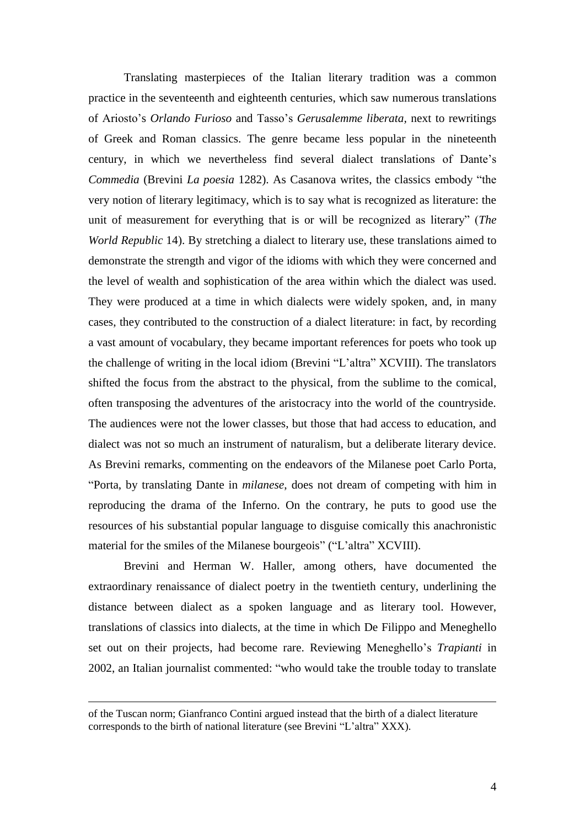Translating masterpieces of the Italian literary tradition was a common practice in the seventeenth and eighteenth centuries, which saw numerous translations of Ariosto's *Orlando Furioso* and Tasso's *Gerusalemme liberata,* next to rewritings of Greek and Roman classics. The genre became less popular in the nineteenth century, in which we nevertheless find several dialect translations of Dante's *Commedia* (Brevini *La poesia* 1282). As Casanova writes, the classics embody "the very notion of literary legitimacy, which is to say what is recognized as literature: the unit of measurement for everything that is or will be recognized as literary" (*The World Republic* 14). By stretching a dialect to literary use, these translations aimed to demonstrate the strength and vigor of the idioms with which they were concerned and the level of wealth and sophistication of the area within which the dialect was used. They were produced at a time in which dialects were widely spoken, and, in many cases, they contributed to the construction of a dialect literature: in fact, by recording a vast amount of vocabulary, they became important references for poets who took up the challenge of writing in the local idiom (Brevini "L'altra" XCVIII). The translators shifted the focus from the abstract to the physical, from the sublime to the comical, often transposing the adventures of the aristocracy into the world of the countryside. The audiences were not the lower classes, but those that had access to education, and dialect was not so much an instrument of naturalism, but a deliberate literary device. As Brevini remarks, commenting on the endeavors of the Milanese poet Carlo Porta, "Porta, by translating Dante in *milanese*, does not dream of competing with him in reproducing the drama of the Inferno. On the contrary, he puts to good use the resources of his substantial popular language to disguise comically this anachronistic material for the smiles of the Milanese bourgeois" ("L'altra" XCVIII).

Brevini and Herman W. Haller, among others, have documented the extraordinary renaissance of dialect poetry in the twentieth century, underlining the distance between dialect as a spoken language and as literary tool. However, translations of classics into dialects, at the time in which De Filippo and Meneghello set out on their projects, had become rare. Reviewing Meneghello's *Trapianti* in 2002, an Italian journalist commented: "who would take the trouble today to translate

of the Tuscan norm; Gianfranco Contini argued instead that the birth of a dialect literature corresponds to the birth of national literature (see Brevini "L'altra" XXX).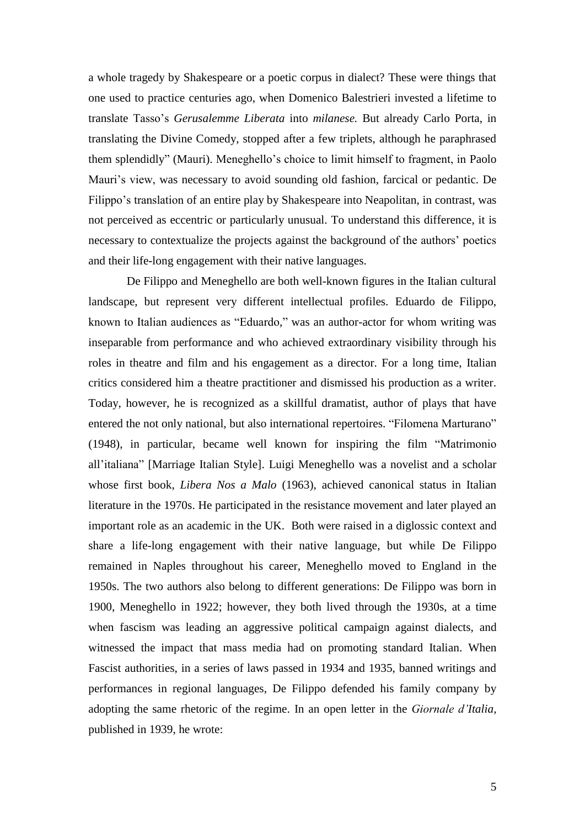a whole tragedy by Shakespeare or a poetic corpus in dialect? These were things that one used to practice centuries ago, when Domenico Balestrieri invested a lifetime to translate Tasso's *Gerusalemme Liberata* into *milanese.* But already Carlo Porta, in translating the Divine Comedy, stopped after a few triplets, although he paraphrased them splendidly" (Mauri). Meneghello's choice to limit himself to fragment, in Paolo Mauri's view, was necessary to avoid sounding old fashion, farcical or pedantic. De Filippo's translation of an entire play by Shakespeare into Neapolitan, in contrast, was not perceived as eccentric or particularly unusual. To understand this difference, it is necessary to contextualize the projects against the background of the authors' poetics and their life-long engagement with their native languages.

De Filippo and Meneghello are both well-known figures in the Italian cultural landscape, but represent very different intellectual profiles. Eduardo de Filippo, known to Italian audiences as "Eduardo," was an author-actor for whom writing was inseparable from performance and who achieved extraordinary visibility through his roles in theatre and film and his engagement as a director. For a long time, Italian critics considered him a theatre practitioner and dismissed his production as a writer. Today, however, he is recognized as a skillful dramatist, author of plays that have entered the not only national, but also international repertoires. "Filomena Marturano" (1948), in particular, became well known for inspiring the film "Matrimonio all'italiana" [Marriage Italian Style]. Luigi Meneghello was a novelist and a scholar whose first book, *Libera Nos a Malo* (1963), achieved canonical status in Italian literature in the 1970s. He participated in the resistance movement and later played an important role as an academic in the UK. Both were raised in a diglossic context and share a life-long engagement with their native language, but while De Filippo remained in Naples throughout his career, Meneghello moved to England in the 1950s. The two authors also belong to different generations: De Filippo was born in 1900, Meneghello in 1922; however, they both lived through the 1930s, at a time when fascism was leading an aggressive political campaign against dialects, and witnessed the impact that mass media had on promoting standard Italian. When Fascist authorities, in a series of laws passed in 1934 and 1935, banned writings and performances in regional languages, De Filippo defended his family company by adopting the same rhetoric of the regime. In an open letter in the *Giornale d'Italia,* published in 1939, he wrote: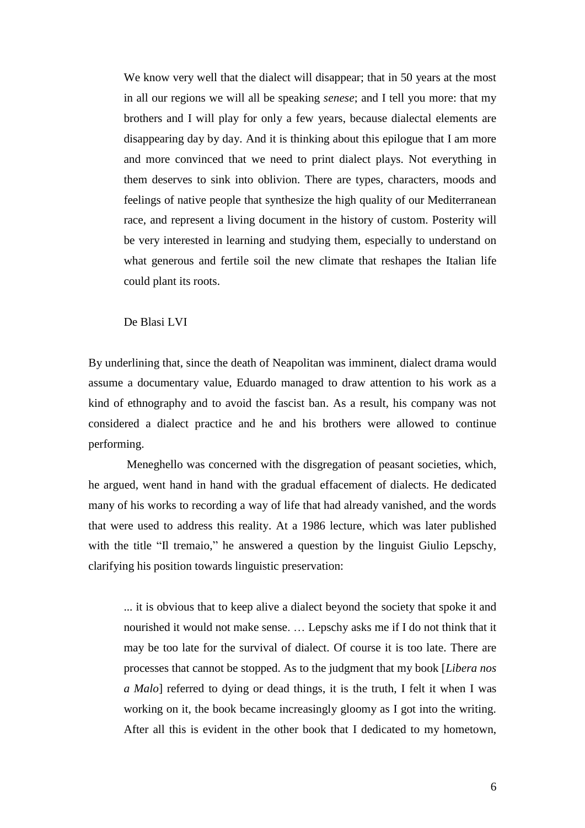We know very well that the dialect will disappear; that in 50 years at the most in all our regions we will all be speaking *senese*; and I tell you more: that my brothers and I will play for only a few years, because dialectal elements are disappearing day by day. And it is thinking about this epilogue that I am more and more convinced that we need to print dialect plays. Not everything in them deserves to sink into oblivion. There are types, characters, moods and feelings of native people that synthesize the high quality of our Mediterranean race, and represent a living document in the history of custom. Posterity will be very interested in learning and studying them, especially to understand on what generous and fertile soil the new climate that reshapes the Italian life could plant its roots.

De Blasi LVI

By underlining that, since the death of Neapolitan was imminent, dialect drama would assume a documentary value, Eduardo managed to draw attention to his work as a kind of ethnography and to avoid the fascist ban. As a result, his company was not considered a dialect practice and he and his brothers were allowed to continue performing.

Meneghello was concerned with the disgregation of peasant societies, which, he argued, went hand in hand with the gradual effacement of dialects. He dedicated many of his works to recording a way of life that had already vanished, and the words that were used to address this reality. At a 1986 lecture, which was later published with the title "Il tremaio," he answered a question by the linguist Giulio Lepschy, clarifying his position towards linguistic preservation:

... it is obvious that to keep alive a dialect beyond the society that spoke it and nourished it would not make sense. … Lepschy asks me if I do not think that it may be too late for the survival of dialect. Of course it is too late. There are processes that cannot be stopped. As to the judgment that my book [*Libera nos a Malo*] referred to dying or dead things, it is the truth, I felt it when I was working on it, the book became increasingly gloomy as I got into the writing. After all this is evident in the other book that I dedicated to my hometown,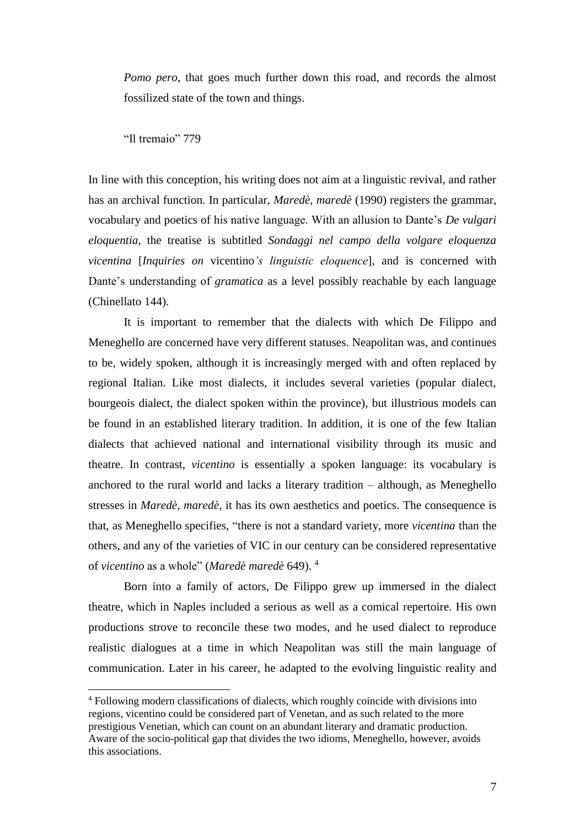*Pomo pero*, that goes much further down this road, and records the almost fossilized state of the town and things.

"Il tremaio" 779

<u>.</u>

In line with this conception, his writing does not aim at a linguistic revival, and rather has an archival function. In particular, *Maredè, maredè* (1990) registers the grammar, vocabulary and poetics of his native language. With an allusion to Dante's *De vulgari eloquentia,* the treatise is subtitled *Sondaggi nel campo della volgare eloquenza vicentina* [*Inquiries on* vicentino*'s linguistic eloquence*], and is concerned with Dante's understanding of *gramatica* as a level possibly reachable by each language (Chinellato 144).

It is important to remember that the dialects with which De Filippo and Meneghello are concerned have very different statuses. Neapolitan was, and continues to be, widely spoken, although it is increasingly merged with and often replaced by regional Italian. Like most dialects, it includes several varieties (popular dialect, bourgeois dialect, the dialect spoken within the province), but illustrious models can be found in an established literary tradition. In addition, it is one of the few Italian dialects that achieved national and international visibility through its music and theatre. In contrast, *vicentino* is essentially a spoken language: its vocabulary is anchored to the rural world and lacks a literary tradition – although, as Meneghello stresses in *Maredè, maredè*, it has its own aesthetics and poetics. The consequence is that, as Meneghello specifies, "there is not a standard variety, more *vicentina* than the others, and any of the varieties of VIC in our century can be considered representative of *vicentino* as a whole" (*Maredè maredè* 649). <sup>4</sup>

Born into a family of actors, De Filippo grew up immersed in the dialect theatre, which in Naples included a serious as well as a comical repertoire. His own productions strove to reconcile these two modes, and he used dialect to reproduce realistic dialogues at a time in which Neapolitan was still the main language of communication. Later in his career, he adapted to the evolving linguistic reality and

<sup>4</sup> Following modern classifications of dialects, which roughly coincide with divisions into regions, vicentino could be considered part of Venetan, and as such related to the more prestigious Venetian, which can count on an abundant literary and dramatic production. Aware of the socio-political gap that divides the two idioms, Meneghello, however, avoids this associations.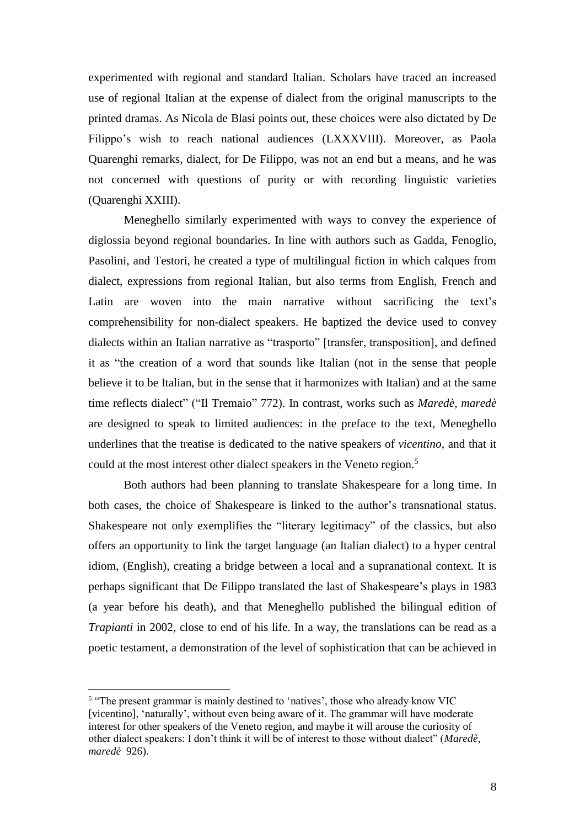experimented with regional and standard Italian. Scholars have traced an increased use of regional Italian at the expense of dialect from the original manuscripts to the printed dramas. As Nicola de Blasi points out, these choices were also dictated by De Filippo's wish to reach national audiences (LXXXVIII). Moreover, as Paola Quarenghi remarks, dialect, for De Filippo, was not an end but a means, and he was not concerned with questions of purity or with recording linguistic varieties (Quarenghi XXIII).

Meneghello similarly experimented with ways to convey the experience of diglossia beyond regional boundaries. In line with authors such as Gadda, Fenoglio, Pasolini, and Testori, he created a type of multilingual fiction in which calques from dialect, expressions from regional Italian, but also terms from English, French and Latin are woven into the main narrative without sacrificing the text's comprehensibility for non-dialect speakers. He baptized the device used to convey dialects within an Italian narrative as "trasporto" [transfer, transposition], and defined it as "the creation of a word that sounds like Italian (not in the sense that people believe it to be Italian, but in the sense that it harmonizes with Italian) and at the same time reflects dialect" ("Il Tremaio" 772). In contrast, works such as *Maredè, maredè* are designed to speak to limited audiences: in the preface to the text, Meneghello underlines that the treatise is dedicated to the native speakers of *vicentino*, and that it could at the most interest other dialect speakers in the Veneto region.<sup>5</sup>

Both authors had been planning to translate Shakespeare for a long time. In both cases, the choice of Shakespeare is linked to the author's transnational status. Shakespeare not only exemplifies the "literary legitimacy" of the classics, but also offers an opportunity to link the target language (an Italian dialect) to a hyper central idiom, (English), creating a bridge between a local and a supranational context. It is perhaps significant that De Filippo translated the last of Shakespeare's plays in 1983 (a year before his death), and that Meneghello published the bilingual edition of *Trapianti* in 2002, close to end of his life. In a way, the translations can be read as a poetic testament, a demonstration of the level of sophistication that can be achieved in

<sup>&</sup>lt;sup>5</sup> "The present grammar is mainly destined to 'natives', those who already know VIC [vicentino], 'naturally', without even being aware of it. The grammar will have moderate interest for other speakers of the Veneto region, and maybe it will arouse the curiosity of other dialect speakers: I don't think it will be of interest to those without dialect" (*Maredè, maredè* 926).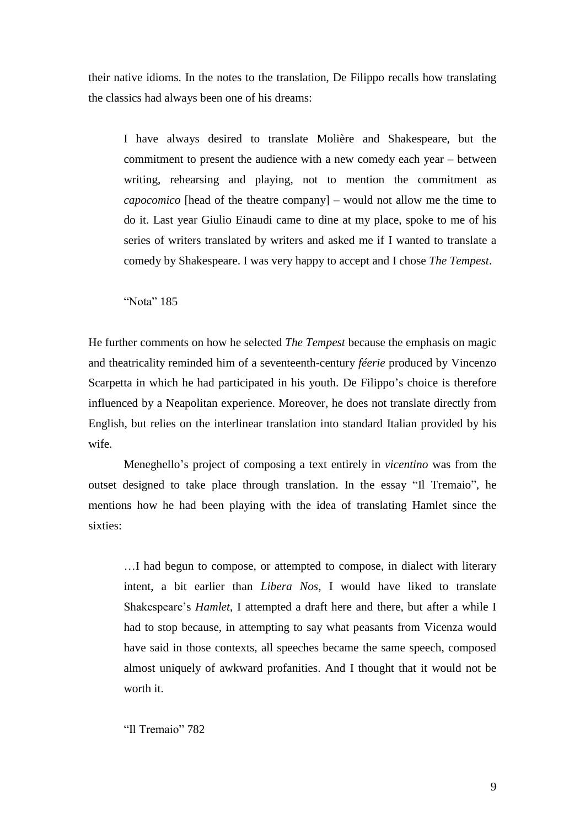their native idioms. In the notes to the translation, De Filippo recalls how translating the classics had always been one of his dreams:

I have always desired to translate Molière and Shakespeare, but the commitment to present the audience with a new comedy each year – between writing, rehearsing and playing, not to mention the commitment as *capocomico* [head of the theatre company] *–* would not allow me the time to do it. Last year Giulio Einaudi came to dine at my place, spoke to me of his series of writers translated by writers and asked me if I wanted to translate a comedy by Shakespeare. I was very happy to accept and I chose *The Tempest*.

"Nota" 185

He further comments on how he selected *The Tempest* because the emphasis on magic and theatricality reminded him of a seventeenth-century *féerie* produced by Vincenzo Scarpetta in which he had participated in his youth. De Filippo's choice is therefore influenced by a Neapolitan experience. Moreover, he does not translate directly from English, but relies on the interlinear translation into standard Italian provided by his wife.

Meneghello's project of composing a text entirely in *vicentino* was from the outset designed to take place through translation. In the essay "Il Tremaio", he mentions how he had been playing with the idea of translating Hamlet since the sixties:

…I had begun to compose, or attempted to compose, in dialect with literary intent, a bit earlier than *Libera Nos*, I would have liked to translate Shakespeare's *Hamlet*, I attempted a draft here and there, but after a while I had to stop because, in attempting to say what peasants from Vicenza would have said in those contexts, all speeches became the same speech, composed almost uniquely of awkward profanities. And I thought that it would not be worth it.

"Il Tremaio" 782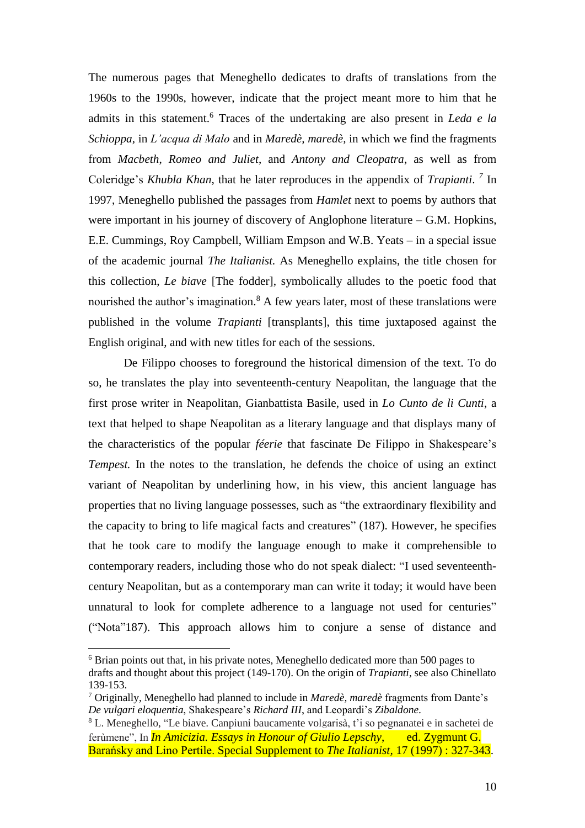The numerous pages that Meneghello dedicates to drafts of translations from the 1960s to the 1990s, however, indicate that the project meant more to him that he admits in this statement. <sup>6</sup> Traces of the undertaking are also present in *Leda e la Schioppa,* in *L'acqua di Malo* and in *Maredè, maredè,* in which we find the fragments from *Macbeth*, *Romeo and Juliet*, and *Antony and Cleopatra*, as well as from Coleridge's *Khubla Khan*, that he later reproduces in the appendix of *Trapianti*. *7* In 1997, Meneghello published the passages from *Hamlet* next to poems by authors that were important in his journey of discovery of Anglophone literature – G.M. Hopkins, E.E. Cummings, Roy Campbell, William Empson and W.B. Yeats – in a special issue of the academic journal *The Italianist.* As Meneghello explains, the title chosen for this collection, *Le biave* [The fodder], symbolically alludes to the poetic food that nourished the author's imagination.<sup>8</sup> A few years later, most of these translations were published in the volume *Trapianti* [transplants], this time juxtaposed against the English original, and with new titles for each of the sessions.

De Filippo chooses to foreground the historical dimension of the text. To do so, he translates the play into seventeenth-century Neapolitan, the language that the first prose writer in Neapolitan, Gianbattista Basile, used in *Lo Cunto de li Cunti*, a text that helped to shape Neapolitan as a literary language and that displays many of the characteristics of the popular *féerie* that fascinate De Filippo in Shakespeare's *Tempest.* In the notes to the translation, he defends the choice of using an extinct variant of Neapolitan by underlining how, in his view, this ancient language has properties that no living language possesses, such as "the extraordinary flexibility and the capacity to bring to life magical facts and creatures" (187). However, he specifies that he took care to modify the language enough to make it comprehensible to contemporary readers, including those who do not speak dialect: "I used seventeenthcentury Neapolitan, but as a contemporary man can write it today; it would have been unnatural to look for complete adherence to a language not used for centuries" ("Nota"187). This approach allows him to conjure a sense of distance and

<sup>6</sup> Brian points out that, in his private notes, Meneghello dedicated more than 500 pages to drafts and thought about this project (149-170). On the origin of *Trapianti*, see also Chinellato 139-153.

<sup>7</sup> Originally, Meneghello had planned to include in *Maredè, maredè* fragments from Dante's *De vulgari eloquentia*, Shakespeare's *Richard III*, and Leopardi's *Zibaldone.*

<sup>8</sup> L. Meneghello, "Le biave. Canpiuni baucamente volgarisà, t'i so pegnanatei e in sachetei de ferùmene", In *In Amicizia. Essays in Honour of Giulio Lepschy*, ed. Zygmunt G. Barańsky and Lino Pertile. Special Supplement to *The Italianist,* 17 (1997) : 327-343.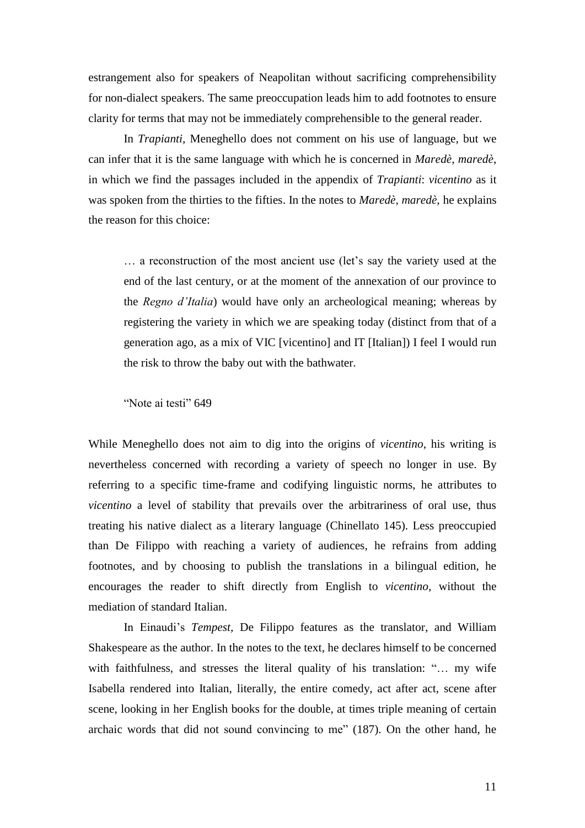estrangement also for speakers of Neapolitan without sacrificing comprehensibility for non-dialect speakers. The same preoccupation leads him to add footnotes to ensure clarity for terms that may not be immediately comprehensible to the general reader.

In *Trapianti,* Meneghello does not comment on his use of language, but we can infer that it is the same language with which he is concerned in *Maredè, maredè*, in which we find the passages included in the appendix of *Trapianti*: *vicentino* as it was spoken from the thirties to the fifties. In the notes to *Maredè, maredè*, he explains the reason for this choice:

… a reconstruction of the most ancient use (let's say the variety used at the end of the last century, or at the moment of the annexation of our province to the *Regno d'Italia*) would have only an archeological meaning; whereas by registering the variety in which we are speaking today (distinct from that of a generation ago, as a mix of VIC [vicentino] and IT [Italian]) I feel I would run the risk to throw the baby out with the bathwater.

"Note ai testi" 649

While Meneghello does not aim to dig into the origins of *vicentino*, his writing is nevertheless concerned with recording a variety of speech no longer in use. By referring to a specific time-frame and codifying linguistic norms, he attributes to *vicentino* a level of stability that prevails over the arbitrariness of oral use, thus treating his native dialect as a literary language (Chinellato 145). Less preoccupied than De Filippo with reaching a variety of audiences, he refrains from adding footnotes, and by choosing to publish the translations in a bilingual edition, he encourages the reader to shift directly from English to *vicentino,* without the mediation of standard Italian.

In Einaudi's *Tempest,* De Filippo features as the translator, and William Shakespeare as the author. In the notes to the text, he declares himself to be concerned with faithfulness, and stresses the literal quality of his translation: "… my wife Isabella rendered into Italian, literally, the entire comedy, act after act, scene after scene, looking in her English books for the double, at times triple meaning of certain archaic words that did not sound convincing to me" (187). On the other hand, he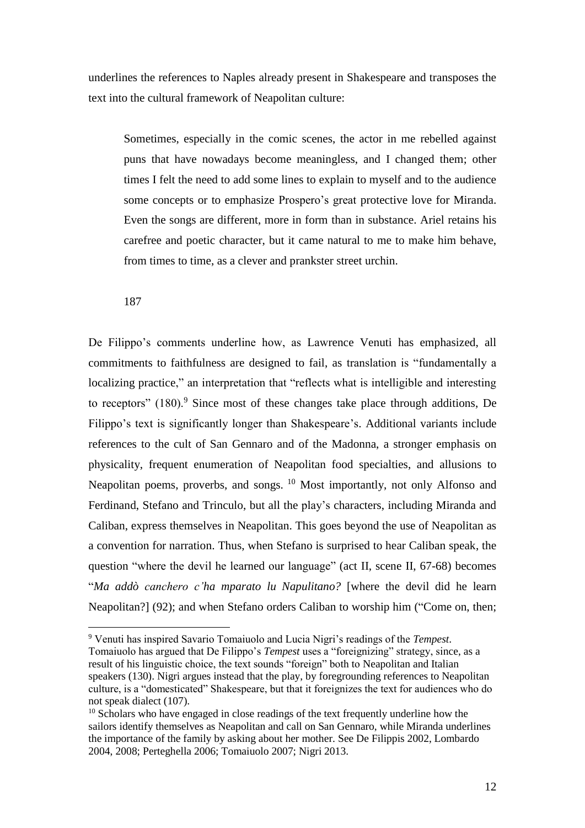underlines the references to Naples already present in Shakespeare and transposes the text into the cultural framework of Neapolitan culture:

Sometimes, especially in the comic scenes, the actor in me rebelled against puns that have nowadays become meaningless, and I changed them; other times I felt the need to add some lines to explain to myself and to the audience some concepts or to emphasize Prospero's great protective love for Miranda. Even the songs are different, more in form than in substance. Ariel retains his carefree and poetic character, but it came natural to me to make him behave, from times to time, as a clever and prankster street urchin.

187

<u>.</u>

De Filippo's comments underline how, as Lawrence Venuti has emphasized, all commitments to faithfulness are designed to fail, as translation is "fundamentally a localizing practice," an interpretation that "reflects what is intelligible and interesting to receptors"  $(180)$ .<sup>9</sup> Since most of these changes take place through additions, De Filippo's text is significantly longer than Shakespeare's. Additional variants include references to the cult of San Gennaro and of the Madonna, a stronger emphasis on physicality, frequent enumeration of Neapolitan food specialties, and allusions to Neapolitan poems, proverbs, and songs. <sup>10</sup> Most importantly, not only Alfonso and Ferdinand, Stefano and Trinculo, but all the play's characters, including Miranda and Caliban, express themselves in Neapolitan. This goes beyond the use of Neapolitan as a convention for narration. Thus, when Stefano is surprised to hear Caliban speak, the question "where the devil he learned our language" (act II, scene II, 67-68) becomes "*Ma addò canchero c'ha mparato lu Napulitano?* [where the devil did he learn Neapolitan?] (92); and when Stefano orders Caliban to worship him ("Come on, then;

<sup>9</sup> Venuti has inspired Savario Tomaiuolo and Lucia Nigri's readings of the *Tempest*.

Tomaiuolo has argued that De Filippo's *Tempest* uses a "foreignizing" strategy, since, as a result of his linguistic choice, the text sounds "foreign" both to Neapolitan and Italian speakers (130). Nigri argues instead that the play, by foregrounding references to Neapolitan culture, is a "domesticated" Shakespeare, but that it foreignizes the text for audiences who do not speak dialect (107).

<sup>&</sup>lt;sup>10</sup> Scholars who have engaged in close readings of the text frequently underline how the sailors identify themselves as Neapolitan and call on San Gennaro, while Miranda underlines the importance of the family by asking about her mother. See De Filippis 2002, Lombardo 2004, 2008; Perteghella 2006; Tomaiuolo 2007; Nigri 2013.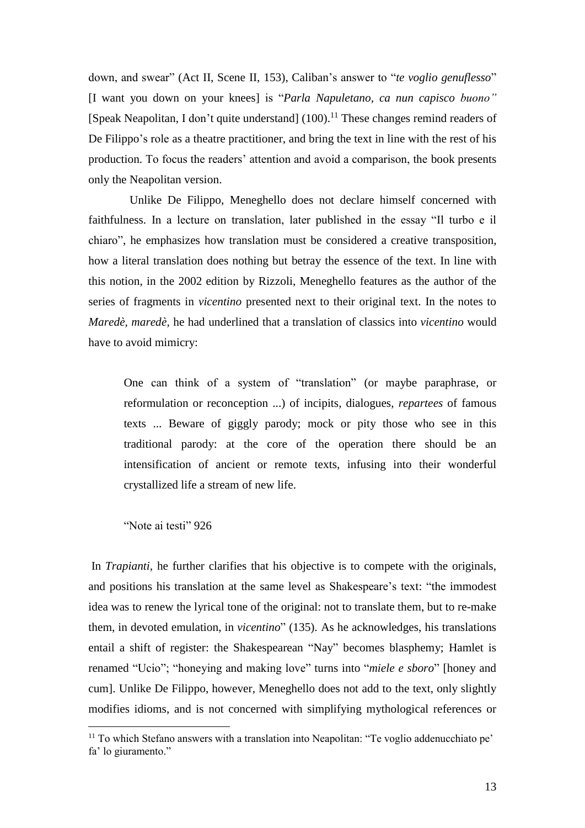down, and swear" (Act II, Scene II, 153), Caliban's answer to "*te voglio genuflesso*" [I want you down on your knees] is "*Parla Napuletano, ca nun capisco buono"* [Speak Neapolitan, I don't quite understand] (100).<sup>11</sup> These changes remind readers of De Filippo's role as a theatre practitioner, and bring the text in line with the rest of his production. To focus the readers' attention and avoid a comparison, the book presents only the Neapolitan version.

 Unlike De Filippo, Meneghello does not declare himself concerned with faithfulness. In a lecture on translation, later published in the essay "Il turbo e il chiaro", he emphasizes how translation must be considered a creative transposition, how a literal translation does nothing but betray the essence of the text. In line with this notion, in the 2002 edition by Rizzoli, Meneghello features as the author of the series of fragments in *vicentino* presented next to their original text. In the notes to *Maredè, maredè,* he had underlined that a translation of classics into *vicentino* would have to avoid mimicry:

One can think of a system of "translation" (or maybe paraphrase, or reformulation or reconception ...) of incipits, dialogues, *repartees* of famous texts ... Beware of giggly parody; mock or pity those who see in this traditional parody: at the core of the operation there should be an intensification of ancient or remote texts, infusing into their wonderful crystallized life a stream of new life.

"Note ai testi" 926

<u>.</u>

In *Trapianti,* he further clarifies that his objective is to compete with the originals, and positions his translation at the same level as Shakespeare's text: "the immodest idea was to renew the lyrical tone of the original: not to translate them, but to re-make them, in devoted emulation, in *vicentino*" (135). As he acknowledges, his translations entail a shift of register: the Shakespearean "Nay" becomes blasphemy; Hamlet is renamed "Ucio"; "honeying and making love" turns into "*miele e sboro*" [honey and cum]. Unlike De Filippo, however, Meneghello does not add to the text, only slightly modifies idioms, and is not concerned with simplifying mythological references or

<sup>11</sup> To which Stefano answers with a translation into Neapolitan: "Te voglio addenucchiato pe' fa' lo giuramento."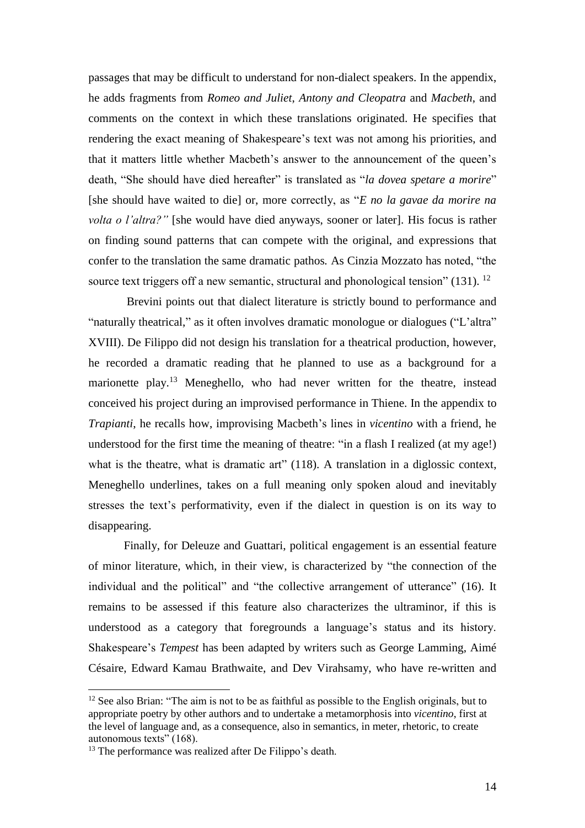passages that may be difficult to understand for non-dialect speakers. In the appendix, he adds fragments from *Romeo and Juliet*, *Antony and Cleopatra* and *Macbeth*, and comments on the context in which these translations originated. He specifies that rendering the exact meaning of Shakespeare's text was not among his priorities, and that it matters little whether Macbeth's answer to the announcement of the queen's death, "She should have died hereafter" is translated as "*la dovea spetare a morire*" [she should have waited to die] or, more correctly, as "*E no la gavae da morire na volta o l'altra?"* [she would have died anyways, sooner or later]. His focus is rather on finding sound patterns that can compete with the original, and expressions that confer to the translation the same dramatic pathos*.* As Cinzia Mozzato has noted, "the source text triggers off a new semantic, structural and phonological tension"  $(131)$ . <sup>12</sup>

Brevini points out that dialect literature is strictly bound to performance and "naturally theatrical," as it often involves dramatic monologue or dialogues ("L'altra" XVIII). De Filippo did not design his translation for a theatrical production, however, he recorded a dramatic reading that he planned to use as a background for a marionette play.<sup>13</sup> Meneghello, who had never written for the theatre, instead conceived his project during an improvised performance in Thiene. In the appendix to *Trapianti*, he recalls how, improvising Macbeth's lines in *vicentino* with a friend, he understood for the first time the meaning of theatre: "in a flash I realized (at my age!) what is the theatre, what is dramatic art" (118). A translation in a diglossic context, Meneghello underlines, takes on a full meaning only spoken aloud and inevitably stresses the text's performativity, even if the dialect in question is on its way to disappearing.

Finally, for Deleuze and Guattari, political engagement is an essential feature of minor literature, which, in their view, is characterized by "the connection of the individual and the political" and "the collective arrangement of utterance" (16). It remains to be assessed if this feature also characterizes the ultraminor, if this is understood as a category that foregrounds a language's status and its history. Shakespeare's *Tempest* has been adapted by writers such as George Lamming, Aimé Césaire, Edward Kamau Brathwaite, and Dev Virahsamy, who have re-written and

 $12$  See also Brian: "The aim is not to be as faithful as possible to the English originals, but to appropriate poetry by other authors and to undertake a metamorphosis into *vicentino*, first at the level of language and, as a consequence, also in semantics, in meter, rhetoric, to create autonomous texts" (168).

<sup>13</sup> The performance was realized after De Filippo's death.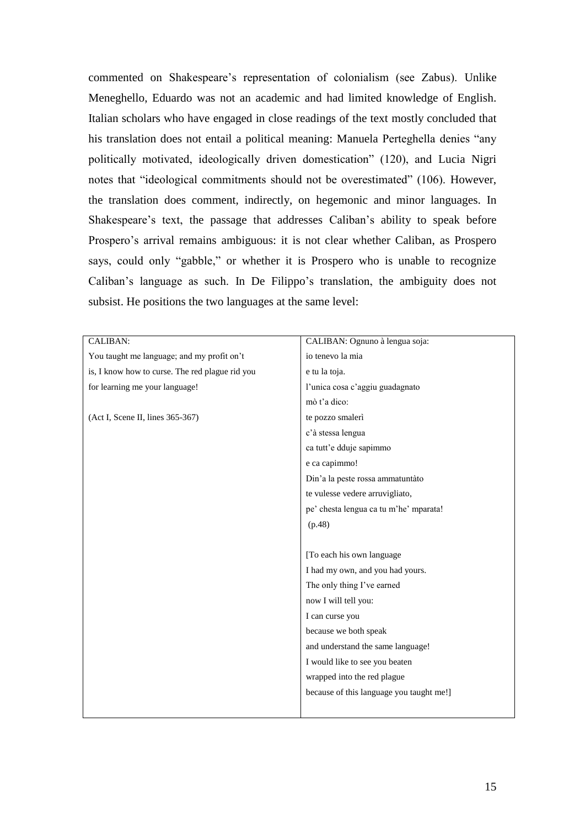commented on Shakespeare's representation of colonialism (see Zabus). Unlike Meneghello, Eduardo was not an academic and had limited knowledge of English. Italian scholars who have engaged in close readings of the text mostly concluded that his translation does not entail a political meaning: Manuela Perteghella denies "any politically motivated, ideologically driven domestication" (120), and Lucia Nigri notes that "ideological commitments should not be overestimated" (106). However, the translation does comment, indirectly, on hegemonic and minor languages. In Shakespeare's text, the passage that addresses Caliban's ability to speak before Prospero's arrival remains ambiguous: it is not clear whether Caliban, as Prospero says, could only "gabble," or whether it is Prospero who is unable to recognize Caliban's language as such. In De Filippo's translation, the ambiguity does not subsist. He positions the two languages at the same level:

| CALIBAN:                                        | CALIBAN: Ognuno à lengua soja:           |
|-------------------------------------------------|------------------------------------------|
| You taught me language; and my profit on't      | io tenevo la mia                         |
| is, I know how to curse. The red plague rid you | e tu la toja.                            |
| for learning me your language!                  | l'unica cosa c'aggiu guadagnato          |
|                                                 | mò t'a dico:                             |
| (Act I, Scene II, lines 365-367)                | te pozzo smalerì                         |
|                                                 | c'à stessa lengua                        |
|                                                 | ca tutt'e dduje sapimmo                  |
|                                                 | e ca capimmo!                            |
|                                                 | Din'a la peste rossa ammatuntàto         |
|                                                 | te vulesse vedere arruvigliato,          |
|                                                 | pe' chesta lengua ca tu m'he' mparata!   |
|                                                 | (p.48)                                   |
|                                                 |                                          |
|                                                 | [To each his own language                |
|                                                 | I had my own, and you had yours.         |
|                                                 | The only thing I've earned               |
|                                                 | now I will tell you:                     |
|                                                 | I can curse you                          |
|                                                 | because we both speak                    |
|                                                 | and understand the same language!        |
|                                                 | I would like to see you beaten           |
|                                                 | wrapped into the red plague              |
|                                                 | because of this language you taught me!] |
|                                                 |                                          |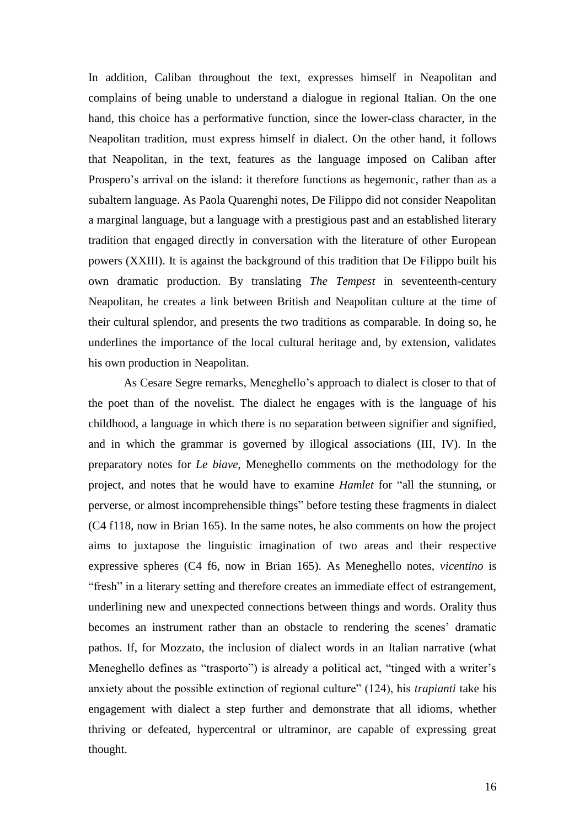In addition, Caliban throughout the text, expresses himself in Neapolitan and complains of being unable to understand a dialogue in regional Italian. On the one hand, this choice has a performative function, since the lower-class character, in the Neapolitan tradition, must express himself in dialect. On the other hand, it follows that Neapolitan, in the text, features as the language imposed on Caliban after Prospero's arrival on the island: it therefore functions as hegemonic, rather than as a subaltern language. As Paola Quarenghi notes, De Filippo did not consider Neapolitan a marginal language, but a language with a prestigious past and an established literary tradition that engaged directly in conversation with the literature of other European powers (XXIII). It is against the background of this tradition that De Filippo built his own dramatic production. By translating *The Tempest* in seventeenth-century Neapolitan, he creates a link between British and Neapolitan culture at the time of their cultural splendor, and presents the two traditions as comparable. In doing so, he underlines the importance of the local cultural heritage and, by extension, validates his own production in Neapolitan.

As Cesare Segre remarks, Meneghello's approach to dialect is closer to that of the poet than of the novelist. The dialect he engages with is the language of his childhood, a language in which there is no separation between signifier and signified, and in which the grammar is governed by illogical associations (III, IV). In the preparatory notes for *Le biave*, Meneghello comments on the methodology for the project, and notes that he would have to examine *Hamlet* for "all the stunning, or perverse, or almost incomprehensible things" before testing these fragments in dialect (C4 f118, now in Brian 165). In the same notes, he also comments on how the project aims to juxtapose the linguistic imagination of two areas and their respective expressive spheres (C4 f6, now in Brian 165). As Meneghello notes, *vicentino* is "fresh" in a literary setting and therefore creates an immediate effect of estrangement, underlining new and unexpected connections between things and words. Orality thus becomes an instrument rather than an obstacle to rendering the scenes' dramatic pathos. If, for Mozzato, the inclusion of dialect words in an Italian narrative (what Meneghello defines as "trasporto") is already a political act, "tinged with a writer's anxiety about the possible extinction of regional culture" (124), his *trapianti* take his engagement with dialect a step further and demonstrate that all idioms, whether thriving or defeated, hypercentral or ultraminor, are capable of expressing great thought.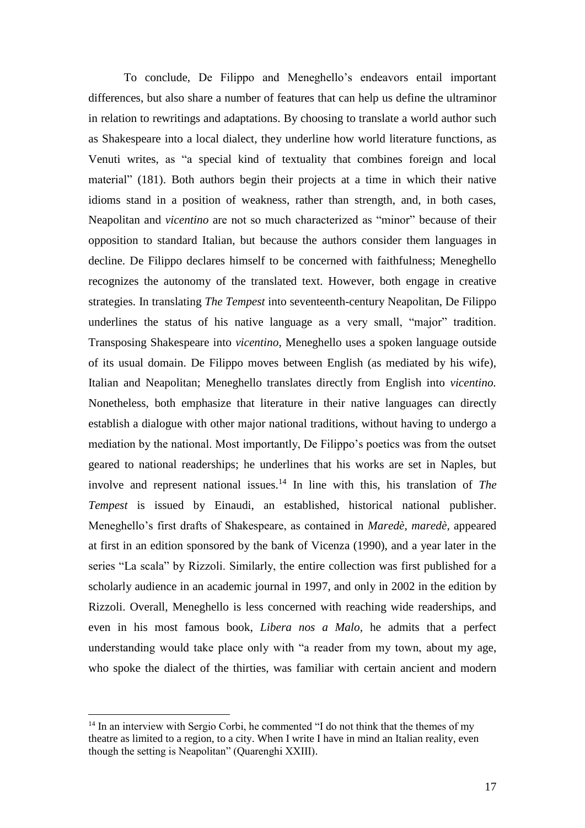To conclude, De Filippo and Meneghello's endeavors entail important differences, but also share a number of features that can help us define the ultraminor in relation to rewritings and adaptations. By choosing to translate a world author such as Shakespeare into a local dialect, they underline how world literature functions, as Venuti writes, as "a special kind of textuality that combines foreign and local material" (181). Both authors begin their projects at a time in which their native idioms stand in a position of weakness, rather than strength, and, in both cases, Neapolitan and *vicentino* are not so much characterized as "minor" because of their opposition to standard Italian, but because the authors consider them languages in decline. De Filippo declares himself to be concerned with faithfulness; Meneghello recognizes the autonomy of the translated text. However, both engage in creative strategies. In translating *The Tempest* into seventeenth-century Neapolitan, De Filippo underlines the status of his native language as a very small, "major" tradition. Transposing Shakespeare into *vicentino*, Meneghello uses a spoken language outside of its usual domain. De Filippo moves between English (as mediated by his wife), Italian and Neapolitan; Meneghello translates directly from English into *vicentino.*  Nonetheless, both emphasize that literature in their native languages can directly establish a dialogue with other major national traditions, without having to undergo a mediation by the national. Most importantly, De Filippo's poetics was from the outset geared to national readerships; he underlines that his works are set in Naples, but involve and represent national issues.<sup>14</sup> In line with this, his translation of *The Tempest* is issued by Einaudi, an established, historical national publisher. Meneghello's first drafts of Shakespeare, as contained in *Maredè, maredè,* appeared at first in an edition sponsored by the bank of Vicenza (1990), and a year later in the series "La scala" by Rizzoli. Similarly, the entire collection was first published for a scholarly audience in an academic journal in 1997, and only in 2002 in the edition by Rizzoli. Overall, Meneghello is less concerned with reaching wide readerships, and even in his most famous book, *Libera nos a Malo,* he admits that a perfect understanding would take place only with "a reader from my town, about my age, who spoke the dialect of the thirties, was familiar with certain ancient and modern

1

<sup>&</sup>lt;sup>14</sup> In an interview with Sergio Corbi, he commented "I do not think that the themes of my theatre as limited to a region, to a city. When I write I have in mind an Italian reality, even though the setting is Neapolitan" (Quarenghi XXIII).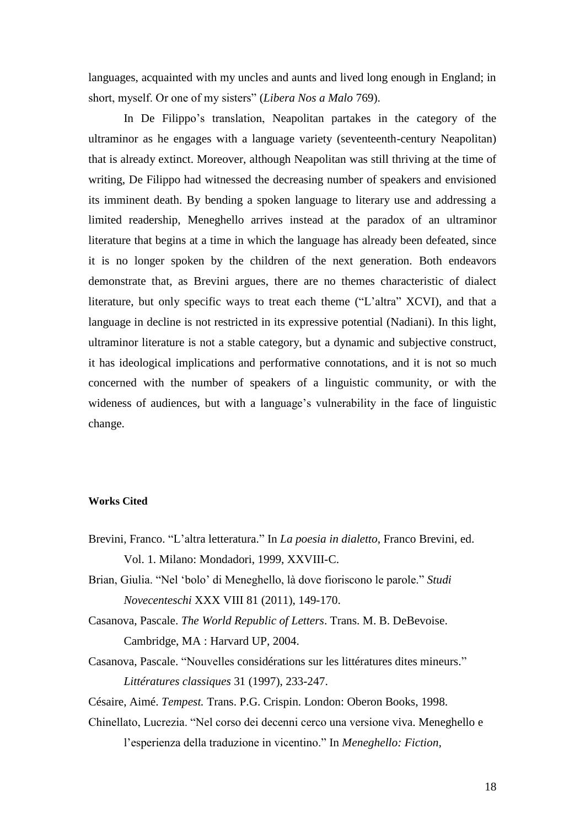languages, acquainted with my uncles and aunts and lived long enough in England; in short, myself. Or one of my sisters" (*Libera Nos a Malo* 769).

In De Filippo's translation, Neapolitan partakes in the category of the ultraminor as he engages with a language variety (seventeenth-century Neapolitan) that is already extinct. Moreover, although Neapolitan was still thriving at the time of writing, De Filippo had witnessed the decreasing number of speakers and envisioned its imminent death. By bending a spoken language to literary use and addressing a limited readership, Meneghello arrives instead at the paradox of an ultraminor literature that begins at a time in which the language has already been defeated, since it is no longer spoken by the children of the next generation. Both endeavors demonstrate that, as Brevini argues, there are no themes characteristic of dialect literature, but only specific ways to treat each theme ("L'altra" XCVI), and that a language in decline is not restricted in its expressive potential (Nadiani). In this light, ultraminor literature is not a stable category, but a dynamic and subjective construct, it has ideological implications and performative connotations, and it is not so much concerned with the number of speakers of a linguistic community, or with the wideness of audiences, but with a language's vulnerability in the face of linguistic change.

## **Works Cited**

- Brevini, Franco. "L'altra letteratura." In *La poesia in dialetto*, Franco Brevini, ed. Vol. 1. Milano: Mondadori, 1999, XXVIII-C.
- Brian, Giulia. "Nel 'bolo' di Meneghello, là dove fioriscono le parole." *Studi Novecenteschi* XXX VIII 81 (2011), 149-170.
- Casanova, Pascale. *The World Republic of Letters*. Trans. M. B. DeBevoise. Cambridge, MA : Harvard UP, 2004.
- Casanova, Pascale. "Nouvelles considérations sur les littératures dites mineurs." *Littératures classiques* 31 (1997), 233-247.

Césaire, Aimé. *Tempest.* Trans. P.G. Crispin. London: Oberon Books, 1998.

Chinellato, Lucrezia. "Nel corso dei decenni cerco una versione viva. Meneghello e l'esperienza della traduzione in vicentino." In *Meneghello: Fiction,*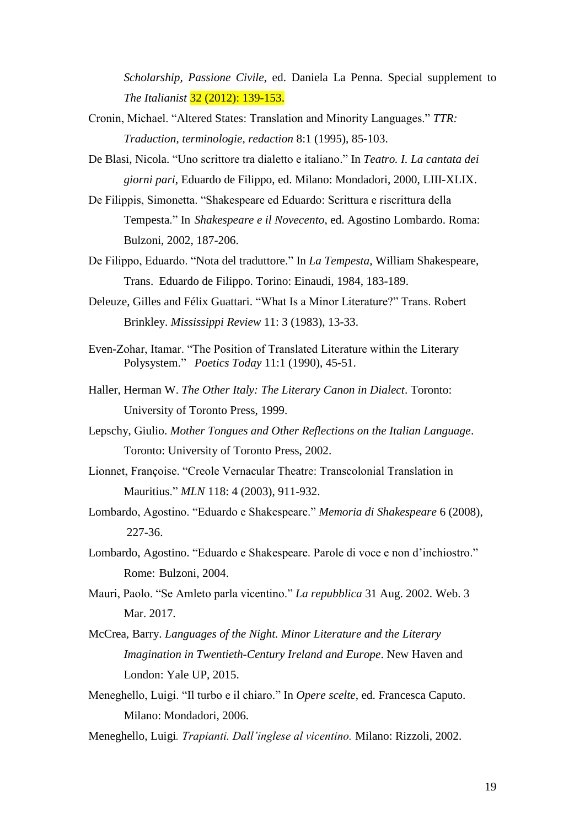*Scholarship, Passione Civile*, ed. Daniela La Penna. Special supplement to *The Italianist* 32 (2012): 139-153.

- Cronin, Michael. "Altered States: Translation and Minority Languages." *TTR: Traduction, terminologie, redaction* 8:1 (1995), 85-103.
- De Blasi, Nicola. "Uno scrittore tra dialetto e italiano." In *Teatro. I. La cantata dei giorni pari*, Eduardo de Filippo, ed. Milano: Mondadori, 2000, LIII-XLIX.
- De Filippis, Simonetta. "Shakespeare ed Eduardo: Scrittura e riscrittura della Tempesta." In *Shakespeare e il Novecento*, ed. Agostino Lombardo. Roma: Bulzoni, 2002, 187-206.
- De Filippo, Eduardo. "Nota del traduttore." In *La Tempesta*, William Shakespeare, Trans. Eduardo de Filippo. Torino: Einaudi, 1984, 183-189.
- Deleuze, Gilles and Félix Guattari. "What Is a Minor Literature?" Trans. Robert Brinkley. *Mississippi Review* 11: 3 (1983), 13-33.
- Even-Zohar, Itamar. "The Position of Translated Literature within the Literary Polysystem." *Poetics Today* 11:1 (1990), 45-51.
- Haller, Herman W. *The Other Italy: The Literary Canon in Dialect*. Toronto: University of Toronto Press, 1999.
- Lepschy, Giulio. *Mother Tongues and Other Reflections on the Italian Language*. Toronto: University of Toronto Press, 2002.
- Lionnet, Françoise. "Creole Vernacular Theatre: Transcolonial Translation in Mauritius." *MLN* 118: 4 (2003), 911-932.
- Lombardo, Agostino. "Eduardo e Shakespeare." *Memoria di Shakespeare* 6 (2008), 227-36.
- Lombardo, Agostino. "Eduardo e Shakespeare. Parole di voce e non d'inchiostro." Rome: Bulzoni, 2004.
- Mauri, Paolo. "Se Amleto parla vicentino." *La repubblica* 31 Aug. 2002. Web. 3 Mar. 2017.
- McCrea, Barry. *Languages of the Night. Minor Literature and the Literary Imagination in Twentieth-Century Ireland and Europe*. New Haven and London: Yale UP, 2015.
- Meneghello, Luigi. "Il turbo e il chiaro." In *Opere scelte*, ed. Francesca Caputo. Milano: Mondadori, 2006.
- Meneghello, Luigi*. Trapianti. Dall'inglese al vicentino.* Milano: Rizzoli, 2002.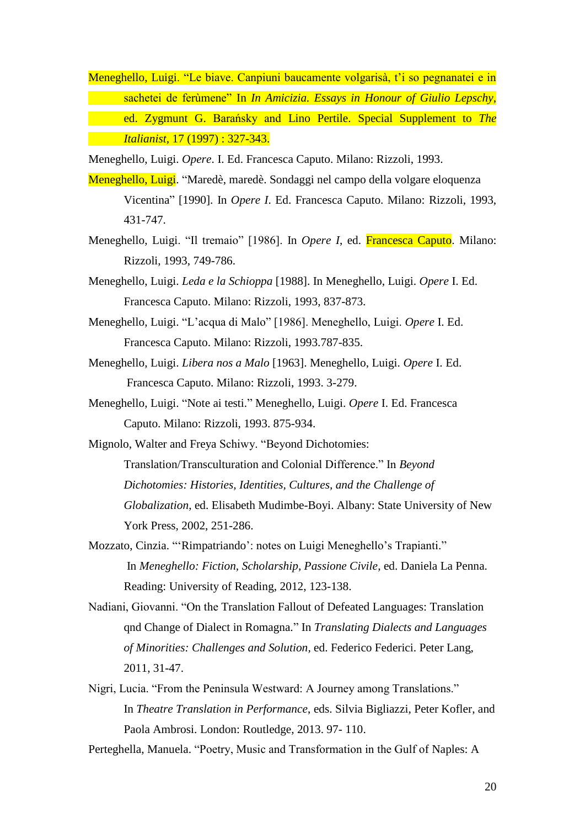Meneghello, Luigi. "Le biave. Canpiuni baucamente volgarisà, t'i so pegnanatei e in sachetei de ferùmene" In *In Amicizia. Essays in Honour of Giulio Lepschy*, ed. Zygmunt G. Barańsky and Lino Pertile. Special Supplement to *The Italianist,* 17 (1997) : 327-343.

Meneghello, Luigi. *Opere*. I. Ed. Francesca Caputo. Milano: Rizzoli, 1993.

- Meneghello, Luigi. "Maredè, maredè. Sondaggi nel campo della volgare eloquenza Vicentina" [1990]*.* In *Opere I*. Ed. Francesca Caputo. Milano: Rizzoli, 1993, 431-747.
- Meneghello, Luigi. "Il tremaio" [1986]. In *Opere I*, ed. Francesca Caputo. Milano: Rizzoli, 1993, 749-786.
- Meneghello, Luigi. *Leda e la Schioppa* [1988]. In Meneghello, Luigi. *Opere* I. Ed. Francesca Caputo. Milano: Rizzoli, 1993, 837-873.
- Meneghello, Luigi. "L'acqua di Malo" [1986]. Meneghello, Luigi. *Opere* I. Ed. Francesca Caputo. Milano: Rizzoli, 1993.787-835.
- Meneghello, Luigi. *Libera nos a Malo* [1963]. Meneghello, Luigi. *Opere* I. Ed. Francesca Caputo. Milano: Rizzoli, 1993. 3-279.
- Meneghello, Luigi. "Note ai testi." Meneghello, Luigi. *Opere* I. Ed. Francesca Caputo. Milano: Rizzoli, 1993. 875-934.
- Mignolo, Walter and Freya Schiwy. "Beyond Dichotomies: Translation/Transculturation and Colonial Difference." In *Beyond Dichotomies: Histories, Identities, Cultures, and the Challenge of Globalization*, ed. Elisabeth Mudimbe-Boyi. Albany: State University of New York Press, 2002, 251-286.
- Mozzato, Cinzia. "'Rimpatriando': notes on Luigi Meneghello's Trapianti." In *Meneghello: Fiction, Scholarship, Passione Civile*, ed. Daniela La Penna. Reading: University of Reading, 2012, 123-138.
- Nadiani, Giovanni. "On the Translation Fallout of Defeated Languages: Translation qnd Change of Dialect in Romagna." In *Translating Dialects and Languages of Minorities: Challenges and Solution,* ed. Federico Federici. Peter Lang, 2011, 31-47.
- Nigri, Lucia. "From the Peninsula Westward: A Journey among Translations." In *Theatre Translation in Performance*, eds. Silvia Bigliazzi, Peter Kofler, and Paola Ambrosi. London: Routledge, 2013. 97- 110.

Perteghella, Manuela. "Poetry, Music and Transformation in the Gulf of Naples: A